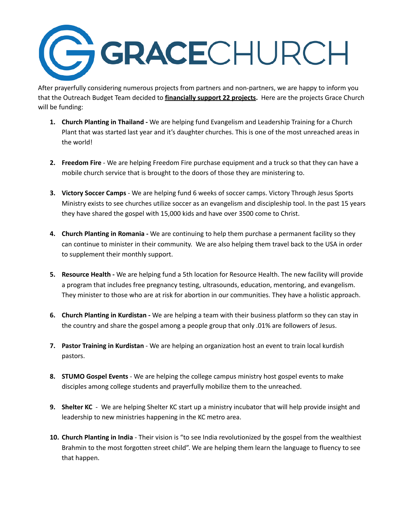

After prayerfully considering numerous projects from partners and non-partners, we are happy to inform you that the Outreach Budget Team decided to **financially support 22 projects.** Here are the projects Grace Church will be funding:

- **1. Church Planting in Thailand -** We are helping fund Evangelism and Leadership Training for a Church Plant that was started last year and it's daughter churches. This is one of the most unreached areas in the world!
- **2. Freedom Fire** We are helping Freedom Fire purchase equipment and a truck so that they can have a mobile church service that is brought to the doors of those they are ministering to.
- **3. Victory Soccer Camps** We are helping fund 6 weeks of soccer camps. Victory Through Jesus Sports Ministry exists to see churches utilize soccer as an evangelism and discipleship tool. In the past 15 years they have shared the gospel with 15,000 kids and have over 3500 come to Christ.
- **4. Church Planting in Romania -** We are continuing to help them purchase a permanent facility so they can continue to minister in their community. We are also helping them travel back to the USA in order to supplement their monthly support.
- **5. Resource Health -** We are helping fund a 5th location for Resource Health. The new facility will provide a program that includes free pregnancy testing, ultrasounds, education, mentoring, and evangelism. They minister to those who are at risk for abortion in our communities. They have a holistic approach.
- **6. Church Planting in Kurdistan -** We are helping a team with their business platform so they can stay in the country and share the gospel among a people group that only .01% are followers of Jesus.
- **7. Pastor Training in Kurdistan** We are helping an organization host an event to train local kurdish pastors.
- **8. STUMO Gospel Events** We are helping the college campus ministry host gospel events to make disciples among college students and prayerfully mobilize them to the unreached.
- **9. Shelter KC** We are helping Shelter KC start up a ministry incubator that will help provide insight and leadership to new ministries happening in the KC metro area.
- **10. Church Planting in India** Their vision is "to see India revolutionized by the gospel from the wealthiest Brahmin to the most forgotten street child". We are helping them learn the language to fluency to see that happen.